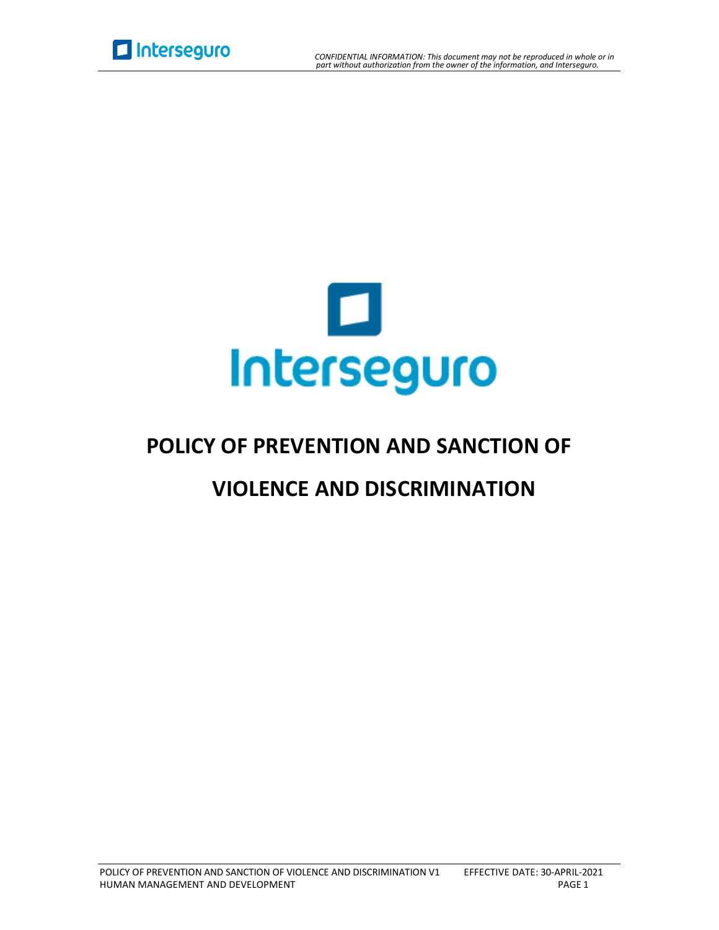



## **POLICY OF PREVENTION AND SANCTION OF**

## **VIOLENCE AND DISCRIMINATION**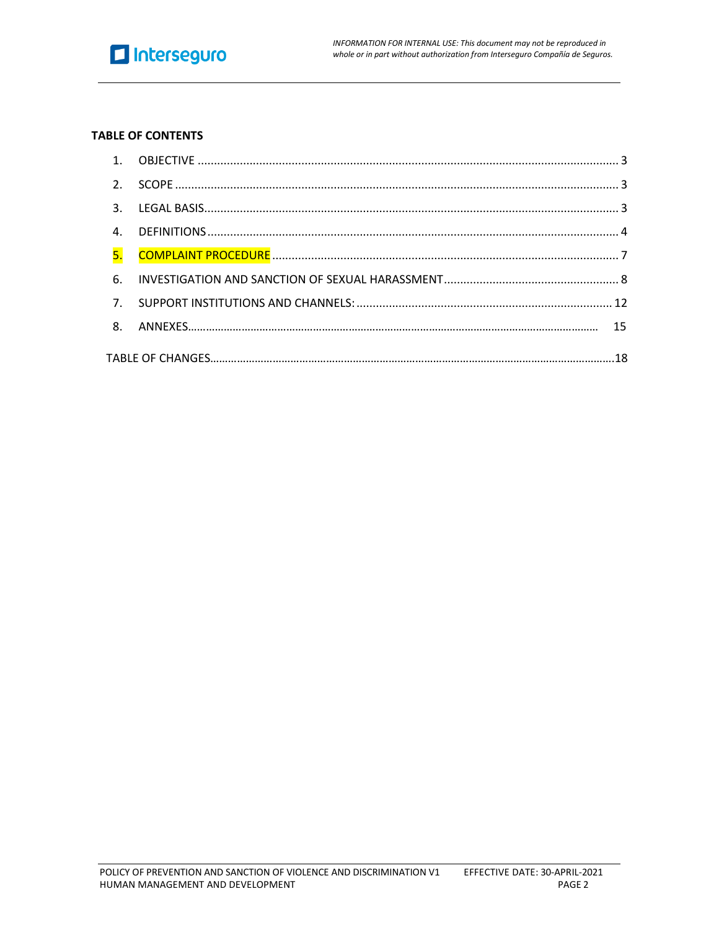

#### **TABLE OF CONTENTS**

| $\mathcal{P}$             |  |  |  |  |
|---------------------------|--|--|--|--|
| 3.                        |  |  |  |  |
| $\mathbf{4}$ .            |  |  |  |  |
| $\overline{\mathsf{5}}$ . |  |  |  |  |
| 6.                        |  |  |  |  |
| 7 <sup>1</sup>            |  |  |  |  |
| 8 <sub>1</sub>            |  |  |  |  |
|                           |  |  |  |  |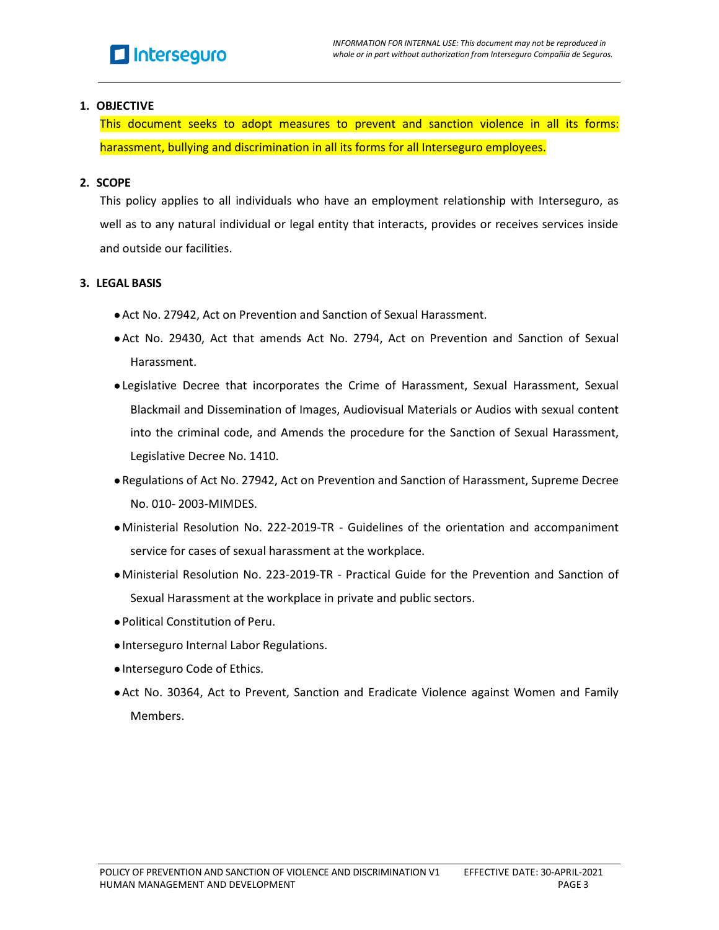#### <span id="page-2-0"></span>**1. OBJECTIVE**

This document seeks to adopt measures to prevent and sanction violence in all its forms: harassment, bullying and discrimination in all its forms for all Interseguro employees.

#### <span id="page-2-1"></span>**2. SCOPE**

This policy applies to all individuals who have an employment relationship with Interseguro, as well as to any natural individual or legal entity that interacts, provides or receives services inside and outside our facilities.

#### <span id="page-2-2"></span>**3. LEGAL BASIS**

- Act No. 27942, Act on Prevention and Sanction of Sexual Harassment.
- ●Act No. 29430, Act that amends Act No. 2794, Act on Prevention and Sanction of Sexual Harassment.
- ●Legislative Decree that incorporates the Crime of Harassment, Sexual Harassment, Sexual Blackmail and Dissemination of Images, Audiovisual Materials or Audios with sexual content into the criminal code, and Amends the procedure for the Sanction of Sexual Harassment, Legislative Decree No. 1410.
- ●Regulations of Act No. 27942, Act on Prevention and Sanction of Harassment, Supreme Decree No. 010- 2003-MIMDES.
- ●Ministerial Resolution No. 222-2019-TR Guidelines of the orientation and accompaniment service for cases of sexual harassment at the workplace.
- ●Ministerial Resolution No. 223-2019-TR Practical Guide for the Prevention and Sanction of Sexual Harassment at the workplace in private and public sectors.
- ●Political Constitution of Peru.
- ●Interseguro Internal Labor Regulations.
- ●Interseguro Code of Ethics.
- ●Act No. 30364, Act to Prevent, Sanction and Eradicate Violence against Women and Family Members.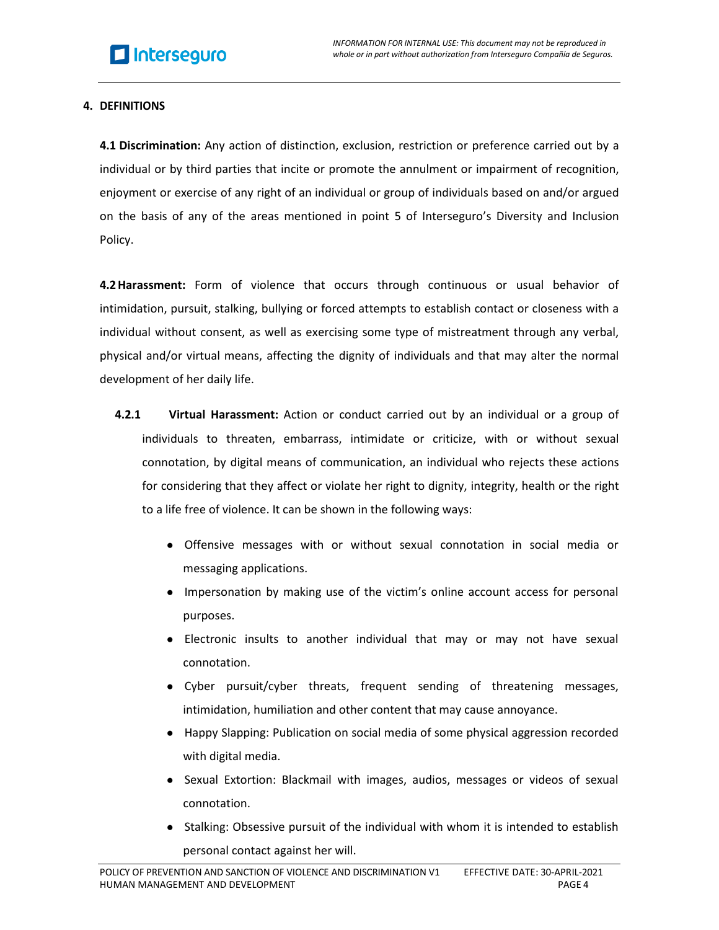#### <span id="page-3-0"></span>**4. DEFINITIONS**

**4.1 Discrimination:** Any action of distinction, exclusion, restriction or preference carried out by a individual or by third parties that incite or promote the annulment or impairment of recognition, enjoyment or exercise of any right of an individual or group of individuals based on and/or argued on the basis of any of the areas mentioned in point 5 of Interseguro's Diversity and Inclusion Policy.

**4.2Harassment:** Form of violence that occurs through continuous or usual behavior of intimidation, pursuit, stalking, bullying or forced attempts to establish contact or closeness with a individual without consent, as well as exercising some type of mistreatment through any verbal, physical and/or virtual means, affecting the dignity of individuals and that may alter the normal development of her daily life.

- **4.2.1 Virtual Harassment:** Action or conduct carried out by an individual or a group of individuals to threaten, embarrass, intimidate or criticize, with or without sexual connotation, by digital means of communication, an individual who rejects these actions for considering that they affect or violate her right to dignity, integrity, health or the right to a life free of violence. It can be shown in the following ways:
	- Offensive messages with or without sexual connotation in social media or messaging applications.
	- Impersonation by making use of the victim's online account access for personal purposes.
	- Electronic insults to another individual that may or may not have sexual connotation.
	- Cyber pursuit/cyber threats, frequent sending of threatening messages, intimidation, humiliation and other content that may cause annoyance.
	- Happy Slapping: Publication on social media of some physical aggression recorded with digital media.
	- Sexual Extortion: Blackmail with images, audios, messages or videos of sexual connotation.
	- Stalking: Obsessive pursuit of the individual with whom it is intended to establish personal contact against her will.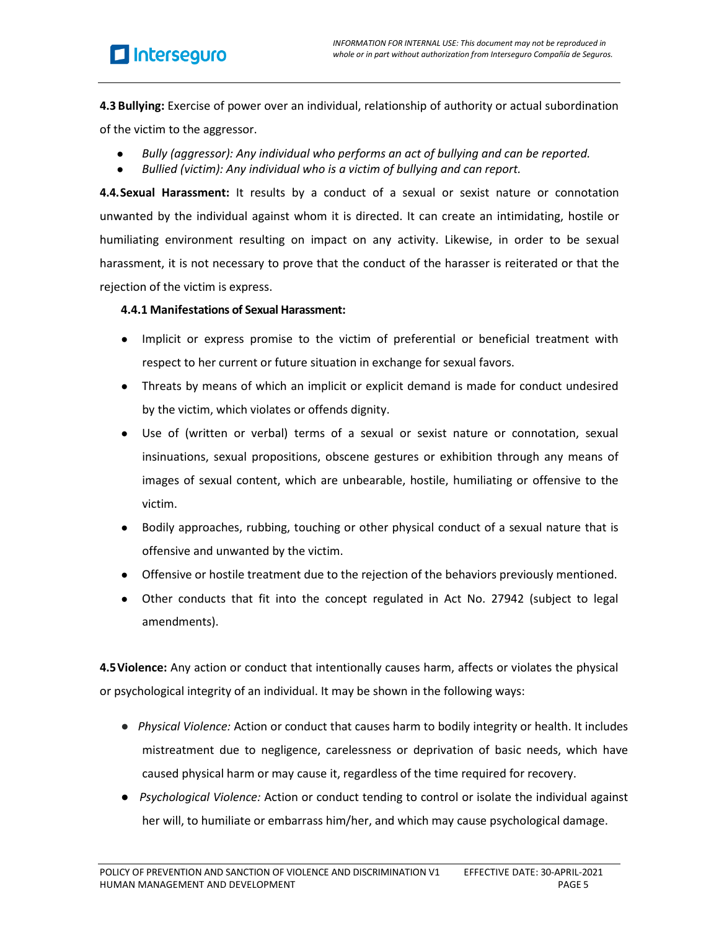**4.3 Bullying:** Exercise of power over an individual, relationship of authority or actual subordination of the victim to the aggressor.

- *Bully (aggressor): Any individual who performs an act of bullying and can be reported.*
- *Bullied (victim): Any individual who is a victim of bullying and can report.*

**4.4.Sexual Harassment:** It results by a conduct of a sexual or sexist nature or connotation unwanted by the individual against whom it is directed. It can create an intimidating, hostile or humiliating environment resulting on impact on any activity. Likewise, in order to be sexual harassment, it is not necessary to prove that the conduct of the harasser is reiterated or that the rejection of the victim is express.

#### **4.4.1 Manifestations of Sexual Harassment:**

- Implicit or express promise to the victim of preferential or beneficial treatment with respect to her current or future situation in exchange for sexual favors.
- Threats by means of which an implicit or explicit demand is made for conduct undesired by the victim, which violates or offends dignity.
- Use of (written or verbal) terms of a sexual or sexist nature or connotation, sexual insinuations, sexual propositions, obscene gestures or exhibition through any means of images of sexual content, which are unbearable, hostile, humiliating or offensive to the victim.
- Bodily approaches, rubbing, touching or other physical conduct of a sexual nature that is offensive and unwanted by the victim.
- Offensive or hostile treatment due to the rejection of the behaviors previously mentioned.
- Other conducts that fit into the concept regulated in Act No. 27942 (subject to legal amendments).

**4.5Violence:** Any action or conduct that intentionally causes harm, affects or violates the physical or psychological integrity of an individual. It may be shown in the following ways:

- *Physical Violence:* Action or conduct that causes harm to bodily integrity or health. It includes mistreatment due to negligence, carelessness or deprivation of basic needs, which have caused physical harm or may cause it, regardless of the time required for recovery.
- *Psychological Violence:* Action or conduct tending to control or isolate the individual against her will, to humiliate or embarrass him/her, and which may cause psychological damage.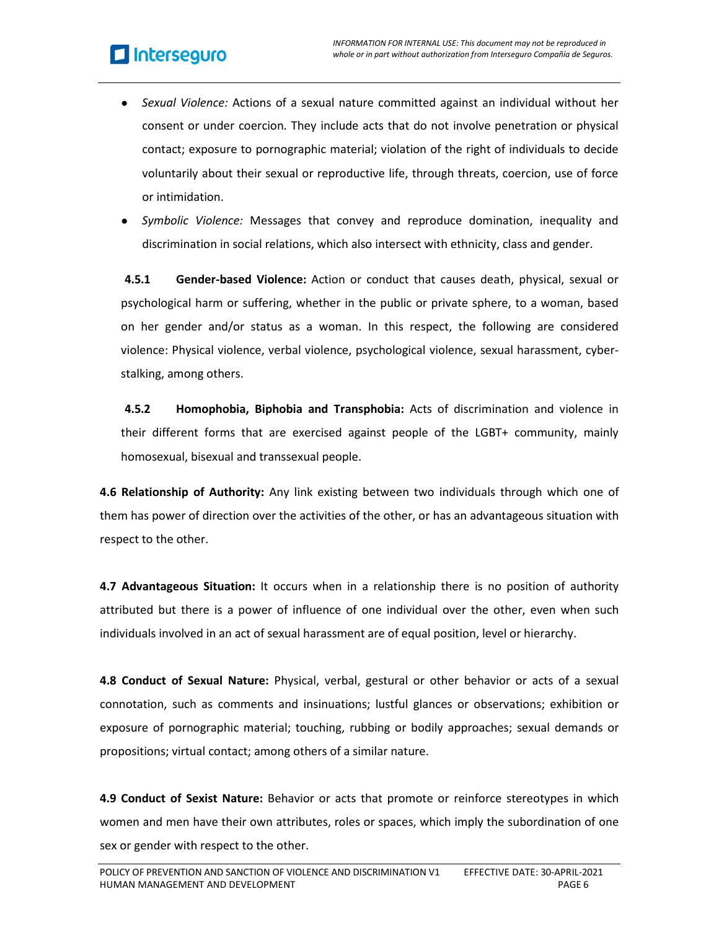- *Sexual Violence:* Actions of a sexual nature committed against an individual without her consent or under coercion. They include acts that do not involve penetration or physical contact; exposure to pornographic material; violation of the right of individuals to decide voluntarily about their sexual or reproductive life, through threats, coercion, use of force or intimidation.
- Symbolic Violence: Messages that convey and reproduce domination, inequality and discrimination in social relations, which also intersect with ethnicity, class and gender.

**4.5.1 Gender-based Violence:** Action or conduct that causes death, physical, sexual or psychological harm or suffering, whether in the public or private sphere, to a woman, based on her gender and/or status as a woman. In this respect, the following are considered violence: Physical violence, verbal violence, psychological violence, sexual harassment, cyberstalking, among others.

**4.5.2 Homophobia, Biphobia and Transphobia:** Acts of discrimination and violence in their different forms that are exercised against people of the LGBT+ community, mainly homosexual, bisexual and transsexual people.

**4.6 Relationship of Authority:** Any link existing between two individuals through which one of them has power of direction over the activities of the other, or has an advantageous situation with respect to the other.

**4.7 Advantageous Situation:** It occurs when in a relationship there is no position of authority attributed but there is a power of influence of one individual over the other, even when such individuals involved in an act of sexual harassment are of equal position, level or hierarchy.

**4.8 Conduct of Sexual Nature:** Physical, verbal, gestural or other behavior or acts of a sexual connotation, such as comments and insinuations; lustful glances or observations; exhibition or exposure of pornographic material; touching, rubbing or bodily approaches; sexual demands or propositions; virtual contact; among others of a similar nature.

**4.9 Conduct of Sexist Nature:** Behavior or acts that promote or reinforce stereotypes in which women and men have their own attributes, roles or spaces, which imply the subordination of one sex or gender with respect to the other.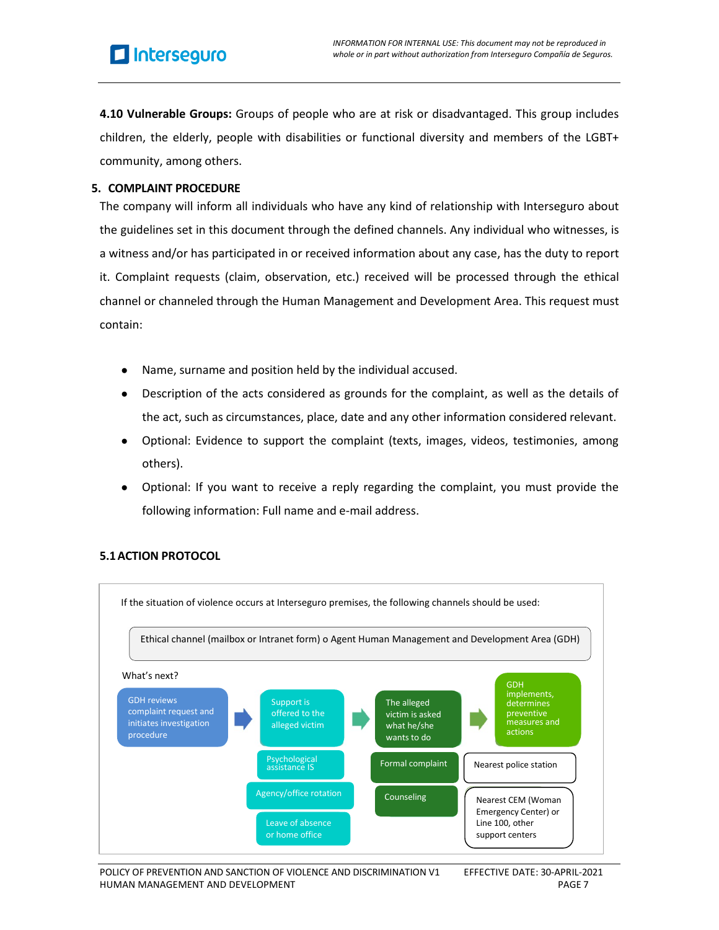**4.10 Vulnerable Groups:** Groups of people who are at risk or disadvantaged. This group includes children, the elderly, people with disabilities or functional diversity and members of the LGBT+ community, among others.

#### <span id="page-6-0"></span>**5. COMPLAINT PROCEDURE**

The company will inform all individuals who have any kind of relationship with Interseguro about the guidelines set in this document through the defined channels. Any individual who witnesses, is a witness and/or has participated in or received information about any case, has the duty to report it. Complaint requests (claim, observation, etc.) received will be processed through the ethical channel or channeled through the Human Management and Development Area. This request must contain:

- Name, surname and position held by the individual accused.
- Description of the acts considered as grounds for the complaint, as well as the details of the act, such as circumstances, place, date and any other information considered relevant.
- Optional: Evidence to support the complaint (texts, images, videos, testimonies, among others).
- Optional: If you want to receive a reply regarding the complaint, you must provide the following information: Full name and e-mail address.



## **5.1ACTION PROTOCOL**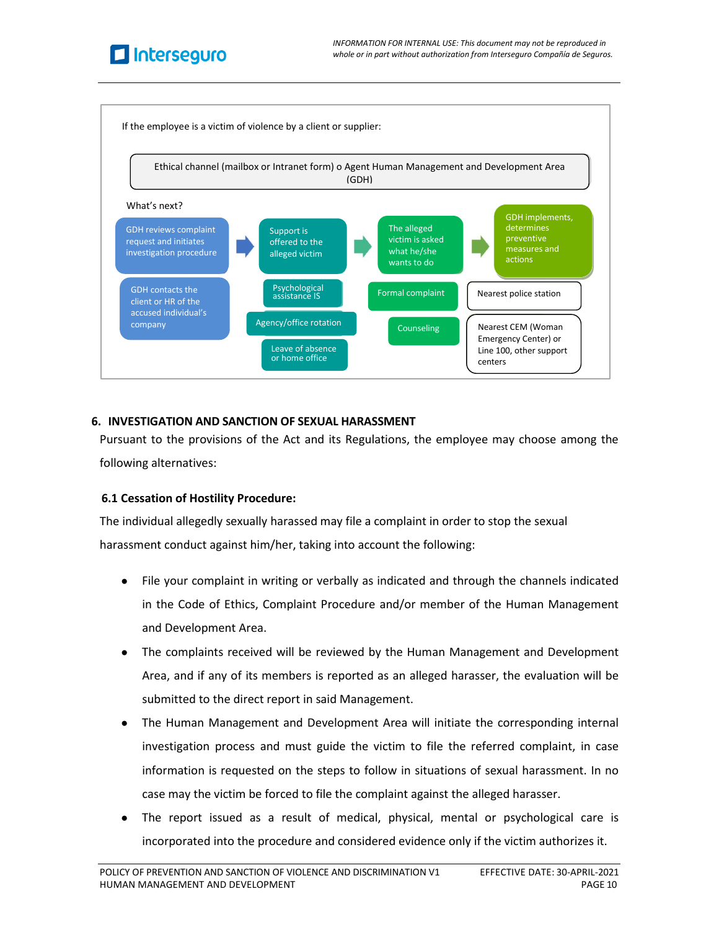



#### <span id="page-7-0"></span>**6. INVESTIGATION AND SANCTION OF SEXUAL HARASSMENT**

Pursuant to the provisions of the Act and its Regulations, the employee may choose among the following alternatives:

#### **6.1 Cessation of Hostility Procedure:**

The individual allegedly sexually harassed may file a complaint in order to stop the sexual harassment conduct against him/her, taking into account the following:

- File your complaint in writing or verbally as indicated and through the channels indicated in the Code of Ethics, Complaint Procedure and/or member of the Human Management and Development Area.
- The complaints received will be reviewed by the Human Management and Development Area, and if any of its members is reported as an alleged harasser, the evaluation will be submitted to the direct report in said Management.
- The Human Management and Development Area will initiate the corresponding internal investigation process and must guide the victim to file the referred complaint, in case information is requested on the steps to follow in situations of sexual harassment. In no case may the victim be forced to file the complaint against the alleged harasser.
- The report issued as a result of medical, physical, mental or psychological care is incorporated into the procedure and considered evidence only if the victim authorizes it.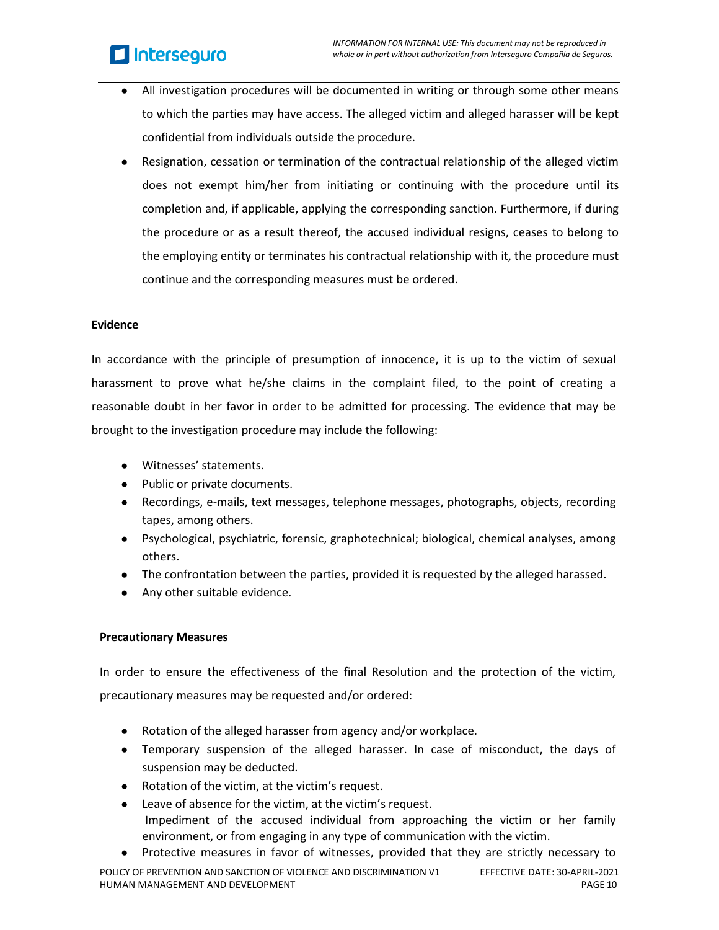# **El** Interseguro

- All investigation procedures will be documented in writing or through some other means to which the parties may have access. The alleged victim and alleged harasser will be kept confidential from individuals outside the procedure.
- Resignation, cessation or termination of the contractual relationship of the alleged victim does not exempt him/her from initiating or continuing with the procedure until its completion and, if applicable, applying the corresponding sanction. Furthermore, if during the procedure or as a result thereof, the accused individual resigns, ceases to belong to the employing entity or terminates his contractual relationship with it, the procedure must continue and the corresponding measures must be ordered.

#### **Evidence**

In accordance with the principle of presumption of innocence, it is up to the victim of sexual harassment to prove what he/she claims in the complaint filed, to the point of creating a reasonable doubt in her favor in order to be admitted for processing. The evidence that may be brought to the investigation procedure may include the following:

- Witnesses' statements.
- Public or private documents.
- Recordings, e-mails, text messages, telephone messages, photographs, objects, recording tapes, among others.
- Psychological, psychiatric, forensic, graphotechnical; biological, chemical analyses, among others.
- The confrontation between the parties, provided it is requested by the alleged harassed.
- Any other suitable evidence.

## **Precautionary Measures**

In order to ensure the effectiveness of the final Resolution and the protection of the victim, precautionary measures may be requested and/or ordered:

- Rotation of the alleged harasser from agency and/or workplace.
- Temporary suspension of the alleged harasser. In case of misconduct, the days of suspension may be deducted.
- Rotation of the victim, at the victim's request.
- Leave of absence for the victim, at the victim's request. Impediment of the accused individual from approaching the victim or her family environment, or from engaging in any type of communication with the victim.
- Protective measures in favor of witnesses, provided that they are strictly necessary to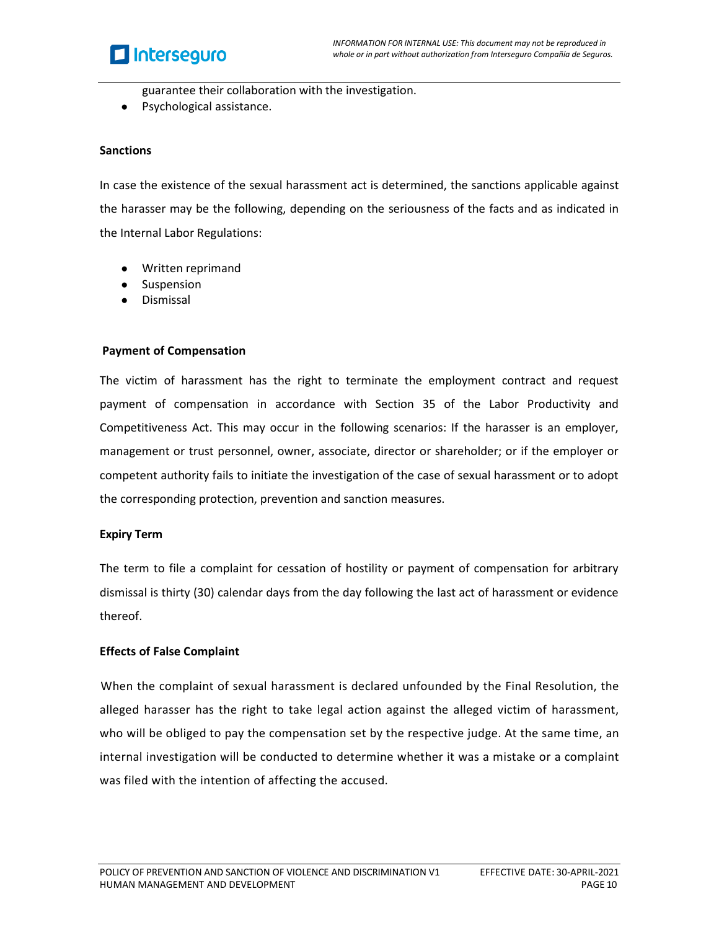## **El** Interseguro

guarantee their collaboration with the investigation.

● Psychological assistance.

#### **Sanctions**

In case the existence of the sexual harassment act is determined, the sanctions applicable against the harasser may be the following, depending on the seriousness of the facts and as indicated in the Internal Labor Regulations:

- Written reprimand
- Suspension
- **Dismissal**

#### **Payment of Compensation**

The victim of harassment has the right to terminate the employment contract and request payment of compensation in accordance with Section 35 of the Labor Productivity and Competitiveness Act. This may occur in the following scenarios: If the harasser is an employer, management or trust personnel, owner, associate, director or shareholder; or if the employer or competent authority fails to initiate the investigation of the case of sexual harassment or to adopt the corresponding protection, prevention and sanction measures.

## **Expiry Term**

The term to file a complaint for cessation of hostility or payment of compensation for arbitrary dismissal is thirty (30) calendar days from the day following the last act of harassment or evidence thereof.

## **Effects of False Complaint**

 When the complaint of sexual harassment is declared unfounded by the Final Resolution, the alleged harasser has the right to take legal action against the alleged victim of harassment, who will be obliged to pay the compensation set by the respective judge. At the same time, an internal investigation will be conducted to determine whether it was a mistake or a complaint was filed with the intention of affecting the accused.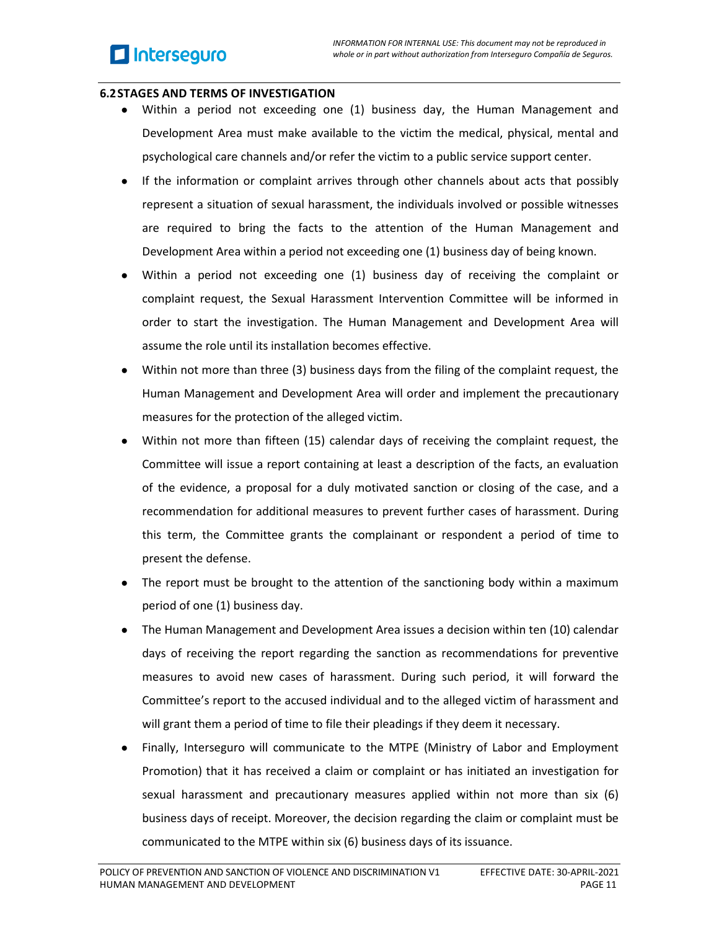#### **6.2STAGES AND TERMS OF INVESTIGATION**

- Within a period not exceeding one (1) business day, the Human Management and Development Area must make available to the victim the medical, physical, mental and psychological care channels and/or refer the victim to a public service support center.
- If the information or complaint arrives through other channels about acts that possibly represent a situation of sexual harassment, the individuals involved or possible witnesses are required to bring the facts to the attention of the Human Management and Development Area within a period not exceeding one (1) business day of being known.
- Within a period not exceeding one (1) business day of receiving the complaint or complaint request, the Sexual Harassment Intervention Committee will be informed in order to start the investigation. The Human Management and Development Area will assume the role until its installation becomes effective.
- Within not more than three (3) business days from the filing of the complaint request, the Human Management and Development Area will order and implement the precautionary measures for the protection of the alleged victim.
- Within not more than fifteen (15) calendar days of receiving the complaint request, the Committee will issue a report containing at least a description of the facts, an evaluation of the evidence, a proposal for a duly motivated sanction or closing of the case, and a recommendation for additional measures to prevent further cases of harassment. During this term, the Committee grants the complainant or respondent a period of time to present the defense.
- The report must be brought to the attention of the sanctioning body within a maximum period of one (1) business day.
- The Human Management and Development Area issues a decision within ten (10) calendar days of receiving the report regarding the sanction as recommendations for preventive measures to avoid new cases of harassment. During such period, it will forward the Committee's report to the accused individual and to the alleged victim of harassment and will grant them a period of time to file their pleadings if they deem it necessary.
- Finally, Interseguro will communicate to the MTPE (Ministry of Labor and Employment Promotion) that it has received a claim or complaint or has initiated an investigation for sexual harassment and precautionary measures applied within not more than six (6) business days of receipt. Moreover, the decision regarding the claim or complaint must be communicated to the MTPE within six (6) business days of its issuance.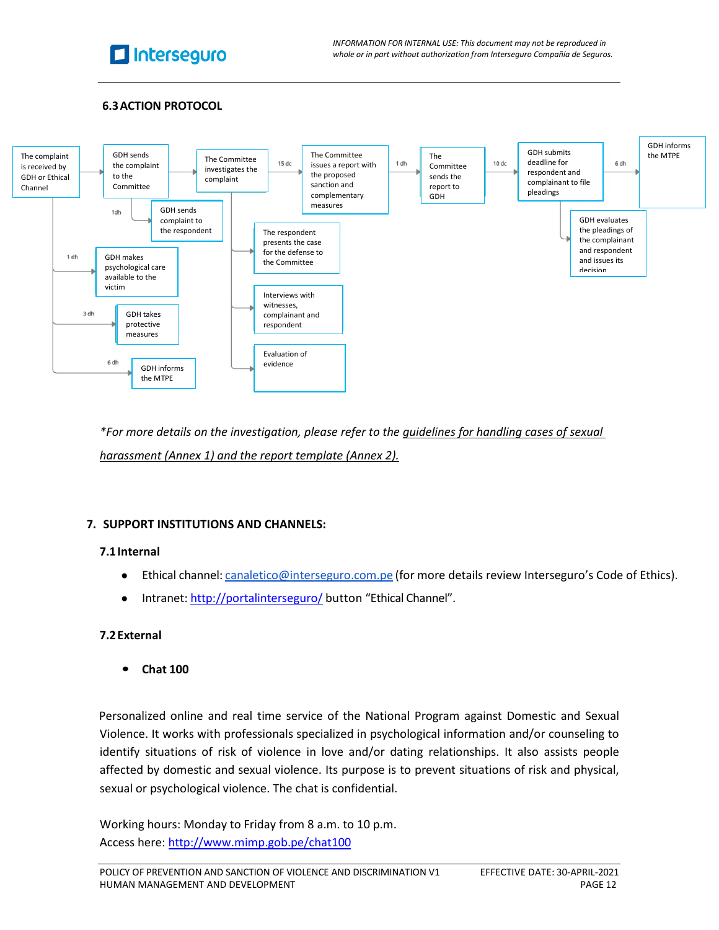

*INFORMATION FOR INTERNAL USE: This document may not be reproduced in whole or in part without authorization from Interseguro Compañía de Seguros.*

## **6.3ACTION PROTOCOL**



*\*For more details on the investigation, please refer to the guidelines for handling cases of sexual harassment (Annex 1) and the report template (Annex 2).*

#### <span id="page-11-1"></span><span id="page-11-0"></span>**7. SUPPORT INSTITUTIONS AND CHANNELS:**

#### **7.1Internal**

- Ethical channel: [canaletico@interseguro.com.pe](mailto:canaletico@interseguro.com.pe) (for more details review Interseguro's Code of Ethics).
- Intranet: <http://portalinterseguro/> button "Ethical Channel".

#### **7.2External**

• **Chat 100**

 Personalized online and real time service of the National Program against Domestic and Sexual Violence. It works with professionals specialized in psychological information and/or counseling to identify situations of risk of violence in love and/or dating relationships. It also assists people affected by domestic and sexual violence. Its purpose is to prevent situations of risk and physical, sexual or psychological violence. The chat is confidential.

Working hours: Monday to Friday from 8 a.m. to 10 p.m. Access here: <http://www.mimp.gob.pe/chat100>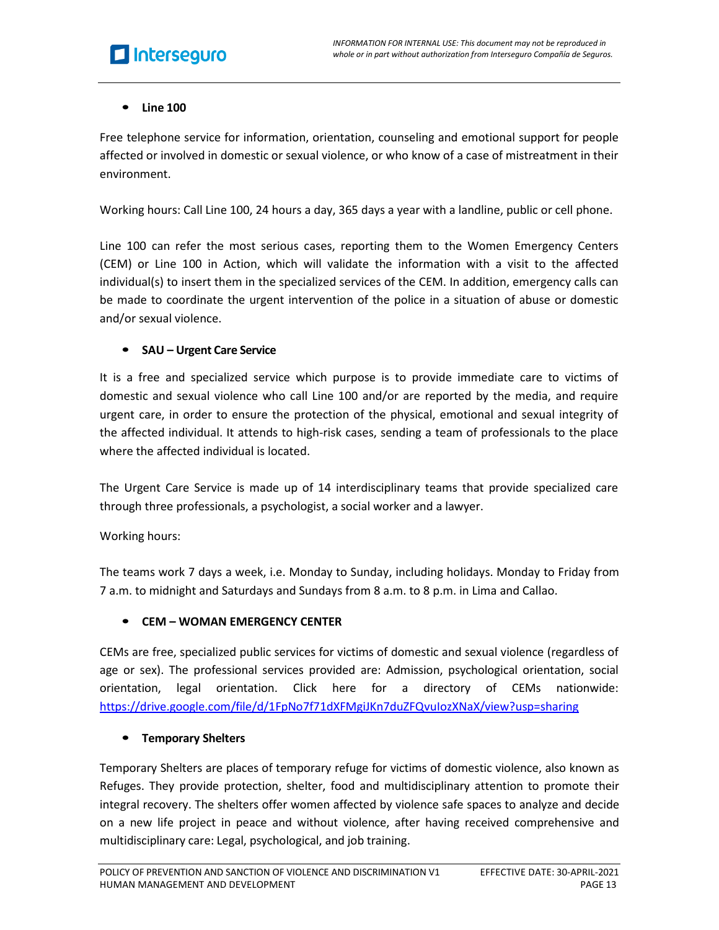# **El** Interseguro

## • **Line 100**

Free telephone service for information, orientation, counseling and emotional support for people affected or involved in domestic or sexual violence, or who know of a case of mistreatment in their environment.

Working hours: Call Line 100, 24 hours a day, 365 days a year with a landline, public or cell phone.

Line 100 can refer the most serious cases, reporting them to the Women Emergency Centers (CEM) or Line 100 in Action, which will validate the information with a visit to the affected individual(s) to insert them in the specialized services of the CEM. In addition, emergency calls can be made to coordinate the urgent intervention of the police in a situation of abuse or domestic and/or sexual violence.

## • **SAU – Urgent Care Service**

It is a free and specialized service which purpose is to provide immediate care to victims of domestic and sexual violence who call Line 100 and/or are reported by the media, and require urgent care, in order to ensure the protection of the physical, emotional and sexual integrity of the affected individual. It attends to high-risk cases, sending a team of professionals to the place where the affected individual is located.

The Urgent Care Service is made up of 14 interdisciplinary teams that provide specialized care through three professionals, a psychologist, a social worker and a lawyer.

## Working hours:

The teams work 7 days a week, i.e. Monday to Sunday, including holidays. Monday to Friday from 7 a.m. to midnight and Saturdays and Sundays from 8 a.m. to 8 p.m. in Lima and Callao.

## • **CEM – WOMAN EMERGENCY CENTER**

CEMs are free, specialized public services for victims of domestic and sexual violence (regardless of age or sex). The professional services provided are: Admission, psychological orientation, social orientation, legal orientation. Click here for a directory of CEMs nationwide: https://drive.google.com/file/d/1FpNo7f71dXFMgiJKn7duZFQvuIozXNaX/view?usp=sharing

## • **Temporary Shelters**

Temporary Shelters are places of temporary refuge for victims of domestic violence, also known as Refuges. They provide protection, shelter, food and multidisciplinary attention to promote their integral recovery. The shelters offer women affected by violence safe spaces to analyze and decide on a new life project in peace and without violence, after having received comprehensive and multidisciplinary care: Legal, psychological, and job training.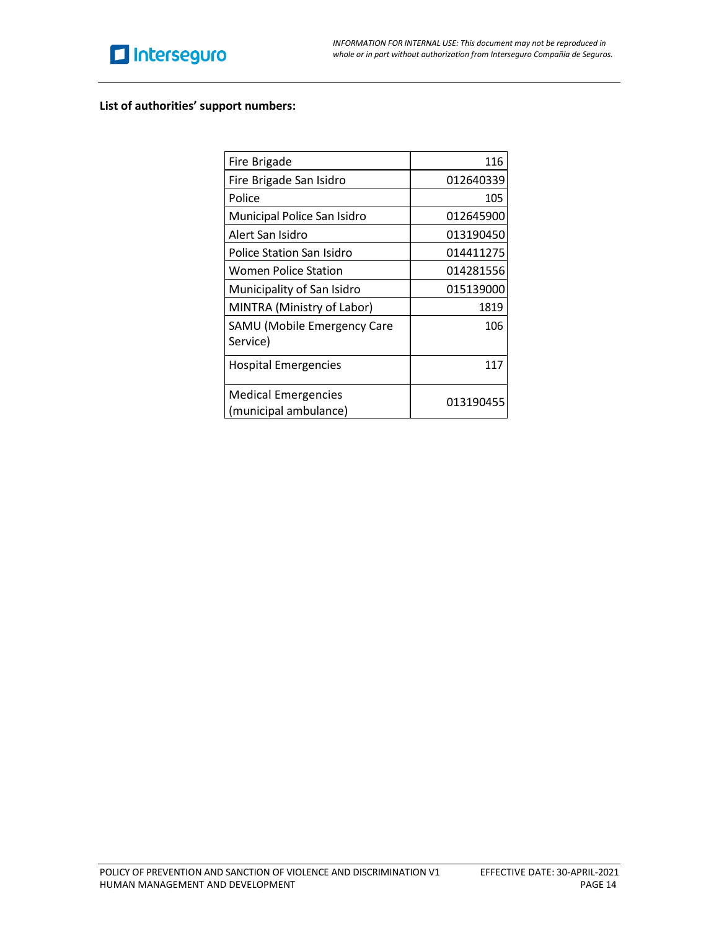

#### **List of authorities' support numbers:**

| Fire Brigade                                        | 116       |
|-----------------------------------------------------|-----------|
| Fire Brigade San Isidro                             | 012640339 |
| Police                                              | 105       |
| Municipal Police San Isidro                         | 012645900 |
| Alert San Isidro                                    | 013190450 |
| Police Station San Isidro                           | 014411275 |
| Women Police Station                                | 014281556 |
| Municipality of San Isidro                          | 015139000 |
| MINTRA (Ministry of Labor)                          | 1819      |
| SAMU (Mobile Emergency Care<br>Service)             | 106       |
| <b>Hospital Emergencies</b>                         | 117       |
| <b>Medical Emergencies</b><br>(municipal ambulance) | 013190455 |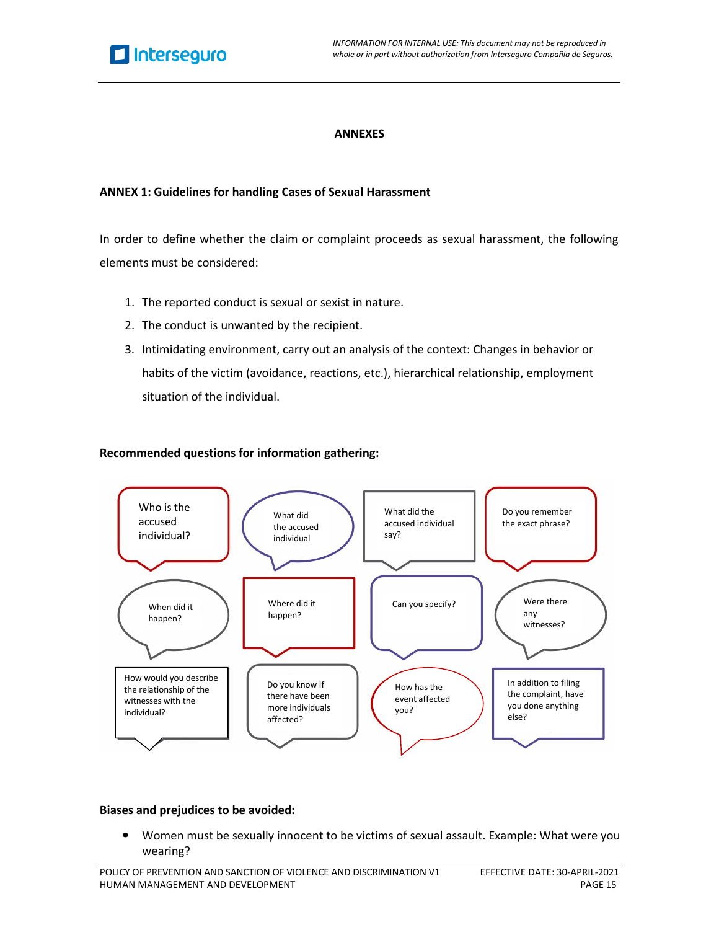

#### **ANNEXES**

#### **ANNEX 1: Guidelines for handling Cases of Sexual Harassment**

In order to define whether the claim or complaint proceeds as sexual harassment, the following elements must be considered:

- 1. The reported conduct is sexual or sexist in nature.
- 2. The conduct is unwanted by the recipient.
- 3. Intimidating environment, carry out an analysis of the context: Changes in behavior or habits of the victim (avoidance, reactions, etc.), hierarchical relationship, employment situation of the individual.

#### **Recommended questions for information gathering:**



#### **Biases and prejudices to be avoided:**

• Women must be sexually innocent to be victims of sexual assault. Example: What were you wearing?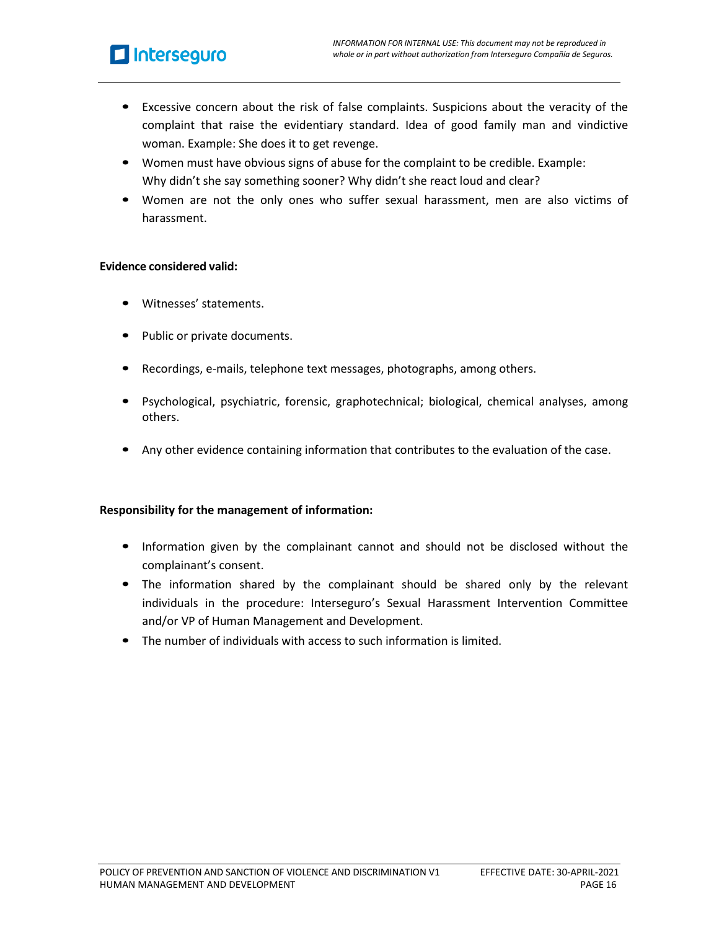# Interseguro

- Excessive concern about the risk of false complaints. Suspicions about the veracity of the complaint that raise the evidentiary standard. Idea of good family man and vindictive woman. Example: She does it to get revenge.
- Women must have obvious signs of abuse for the complaint to be credible. Example: Why didn't she say something sooner? Why didn't she react loud and clear?
- Women are not the only ones who suffer sexual harassment, men are also victims of harassment.

#### **Evidence considered valid:**

- Witnesses' statements.
- Public or private documents.
- Recordings, e-mails, telephone text messages, photographs, among others.
- Psychological, psychiatric, forensic, graphotechnical; biological, chemical analyses, among others.
- Any other evidence containing information that contributes to the evaluation of the case.

## **Responsibility for the management of information:**

- Information given by the complainant cannot and should not be disclosed without the complainant's consent.
- The information shared by the complainant should be shared only by the relevant individuals in the procedure: Interseguro's Sexual Harassment Intervention Committee and/or VP of Human Management and Development.
- The number of individuals with access to such information is limited.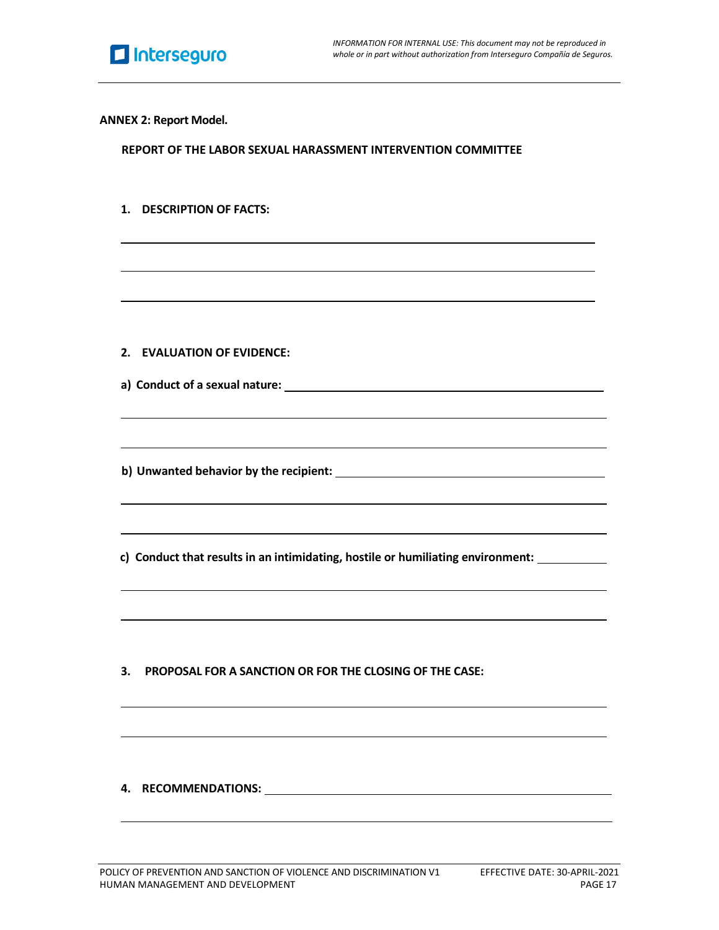

**ANNEX 2: Report Model.**

**REPORT OF THE LABOR SEXUAL HARASSMENT INTERVENTION COMMITTEE**

**1. DESCRIPTION OF FACTS:**

- **2. EVALUATION OF EVIDENCE:**
- **a) Conduct of a sexual nature:**
- **b) Unwanted behavior by the recipient:**

**c) Conduct that results in an intimidating, hostile or humiliating environment:**

**3. PROPOSAL FOR A SANCTION OR FOR THE CLOSING OF THE CASE:**

## **4. RECOMMENDATIONS:**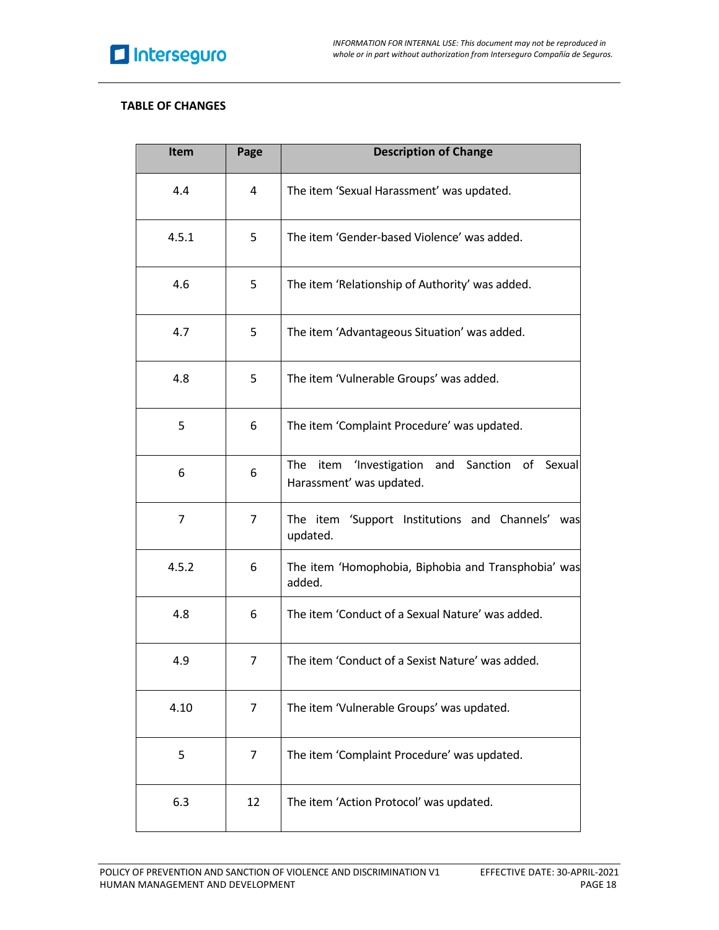## **TABLE OF CHANGES**

| Item  | Page           | <b>Description of Change</b>                                                     |
|-------|----------------|----------------------------------------------------------------------------------|
| 4.4   | 4              | The item 'Sexual Harassment' was updated.                                        |
| 4.5.1 | 5              | The item 'Gender-based Violence' was added.                                      |
| 4.6   | 5              | The item 'Relationship of Authority' was added.                                  |
| 4.7   | 5              | The item 'Advantageous Situation' was added.                                     |
| 4.8   | 5              | The item 'Vulnerable Groups' was added.                                          |
| 5     | 6              | The item 'Complaint Procedure' was updated.                                      |
| 6     | 6              | item 'Investigation and Sanction of<br>Sexual<br>The<br>Harassment' was updated. |
| 7     | $\overline{7}$ | The item 'Support Institutions and Channels'<br>was<br>updated.                  |
| 4.5.2 | 6              | The item 'Homophobia, Biphobia and Transphobia' was<br>added.                    |
| 4.8   | 6              | The item 'Conduct of a Sexual Nature' was added.                                 |
| 4.9   | 7              | The item 'Conduct of a Sexist Nature' was added.                                 |
| 4.10  | 7              | The item 'Vulnerable Groups' was updated.                                        |
| 5     | 7              | The item 'Complaint Procedure' was updated.                                      |
| 6.3   | 12             | The item 'Action Protocol' was updated.                                          |